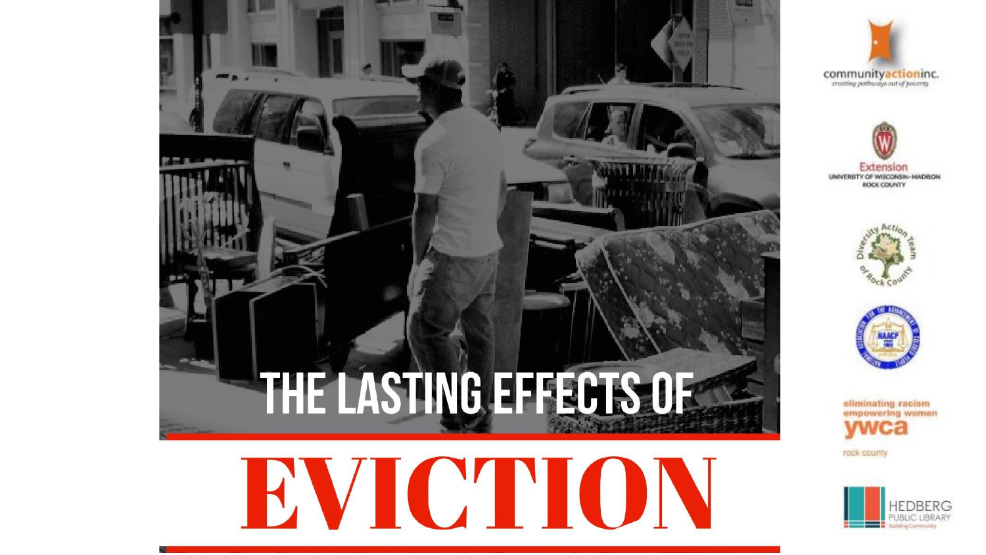









eliminating racism empowering women rock county

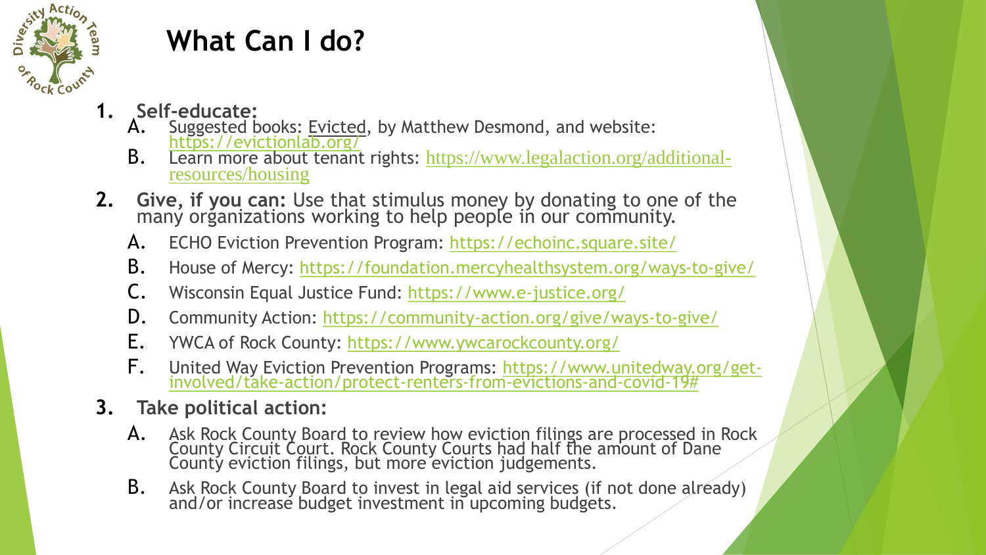

## **What Can I do?**

- **1. Self-educate:**
	- A. Suggested books: Evicted, by Matthew Desmond, and website: <https://evictionlab.org/>
	- **B.** Learn more about tenant rights: [https://www.legalaction.org/additional](https://www.legalaction.org/additional-resources/housing)resources/housing
- **2. Give, if you can:** Use that stimulus money by donating to one of the many organizations working to help people in our community.
	- A. ECHO Eviction Prevention Program: <https://echoinc.square.site/>
	- B. House of Mercy: <https://foundation.mercyhealthsystem.org/ways-to-give/>
	- C. Wisconsin Equal Justice Fund:<https://www.e-justice.org/>
	- D. Community Action:<https://community-action.org/give/ways-to-give/>
	- E. YWCA of Rock County:<https://www.ywcarockcounty.org/>
	- F. [United Way Eviction Prevention Programs: https://www.unitedway.org/get](https://www.unitedway.org/get-involved/take-action/protect-renters-from-evictions-and-covid-19)involved/take-action/protect-renters-from-evictions-and-covid-19#

## **3. Take political action:**

- A. Ask Rock County Board to review how eviction filings are processed in Rock County Circuit Court. Rock County Courts had half the amount of Dane County eviction filings, but more eviction judgements.
- B. Ask Rock County Board to invest in legal aid services (if not done already) and/or increase budget investment in upcoming budgets.